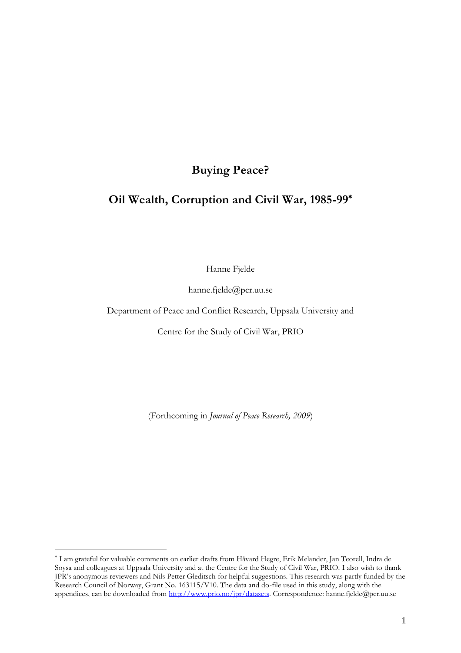# **Buying Peace?**

# **Oil Wealth, Corruption and Civil War, 1985-99**

Hanne Fjelde

hanne.fjelde@pcr.uu.se

Department of Peace and Conflict Research, Uppsala University and

Centre for the Study of Civil War, PRIO

(Forthcoming in *Journal of Peace Research, 2009*)

I am grateful for valuable comments on earlier drafts from Håvard Hegre, Erik Melander, Jan Teorell, Indra de Soysa and colleagues at Uppsala University and at the Centre for the Study of Civil War, PRIO. I also wish to thank JPR's anonymous reviewers and Nils Petter Gleditsch for helpful suggestions. This research was partly funded by the Research Council of Norway, Grant No. 163115/V10. The data and do-file used in this study, along with the appendices, can be downloaded from [http://www.prio.no/jpr/datasets.](http://www.prio.no/jpr/datasets) Correspondence: hanne.fjelde@pcr.uu.se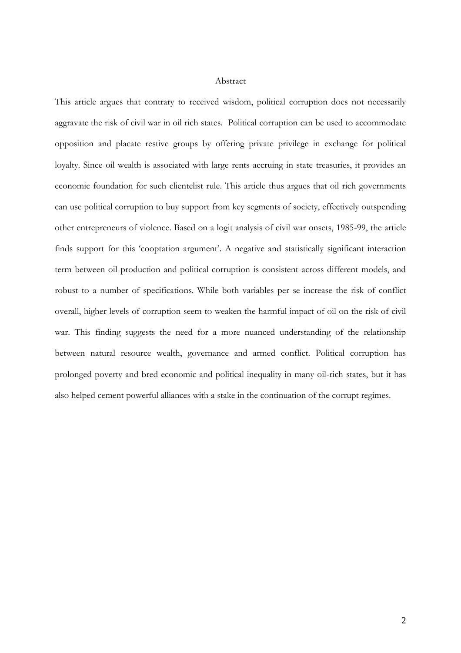#### Abstract

This article argues that contrary to received wisdom, political corruption does not necessarily aggravate the risk of civil war in oil rich states. Political corruption can be used to accommodate opposition and placate restive groups by offering private privilege in exchange for political loyalty. Since oil wealth is associated with large rents accruing in state treasuries, it provides an economic foundation for such clientelist rule. This article thus argues that oil rich governments can use political corruption to buy support from key segments of society, effectively outspending other entrepreneurs of violence. Based on a logit analysis of civil war onsets, 1985-99, the article finds support for this 'cooptation argument'. A negative and statistically significant interaction term between oil production and political corruption is consistent across different models, and robust to a number of specifications. While both variables per se increase the risk of conflict overall, higher levels of corruption seem to weaken the harmful impact of oil on the risk of civil war. This finding suggests the need for a more nuanced understanding of the relationship between natural resource wealth, governance and armed conflict. Political corruption has prolonged poverty and bred economic and political inequality in many oil-rich states, but it has also helped cement powerful alliances with a stake in the continuation of the corrupt regimes.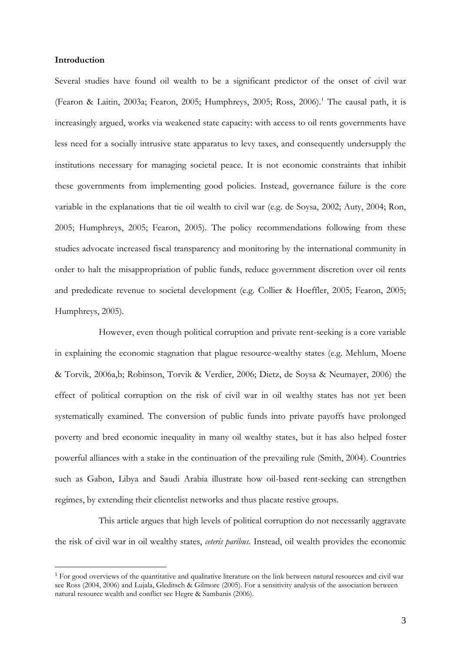#### **Introduction**

 $\overline{a}$ 

Several studies have found oil wealth to be a significant predictor of the onset of civil war (Fearon & Laitin, 2003a; Fearon, 2005; Humphreys, 2005; Ross, 2006).<sup>1</sup> The causal path, it is increasingly argued, works via weakened state capacity: with access to oil rents governments have less need for a socially intrusive state apparatus to levy taxes, and consequently undersupply the institutions necessary for managing societal peace. It is not economic constraints that inhibit these governments from implementing good policies. Instead, governance failure is the core variable in the explanations that tie oil wealth to civil war (e.g. de Soysa, 2002; Auty, 2004; Ron, 2005; Humphreys, 2005; Fearon, 2005). The policy recommendations following from these studies advocate increased fiscal transparency and monitoring by the international community in order to halt the misappropriation of public funds, reduce government discretion over oil rents and prededicate revenue to societal development (e.g. Collier & Hoeffler, 2005; Fearon, 2005; Humphreys, 2005).

However, even though political corruption and private rent-seeking is a core variable in explaining the economic stagnation that plague resource-wealthy states (e.g. Mehlum, Moene & Torvik, 2006a,b; Robinson, Torvik & Verdier, 2006; Dietz, de Soysa & Neumayer, 2006) the effect of political corruption on the risk of civil war in oil wealthy states has not yet been systematically examined. The conversion of public funds into private payoffs have prolonged poverty and bred economic inequality in many oil wealthy states, but it has also helped foster powerful alliances with a stake in the continuation of the prevailing rule (Smith, 2004). Countries such as Gabon, Libya and Saudi Arabia illustrate how oil-based rent-seeking can strengthen regimes, by extending their clientelist networks and thus placate restive groups.

This article argues that high levels of political corruption do not necessarily aggravate the risk of civil war in oil wealthy states, *ceteris paribus*. Instead, oil wealth provides the economic

<sup>&</sup>lt;sup>1</sup> For good overviews of the quantitative and qualitative literature on the link between natural resources and civil war see Ross (2004, 2006) and Lujala, Gleditsch & Gilmore (2005). For a sensitivity analysis of the association between natural resource wealth and conflict see Hegre & Sambanis (2006).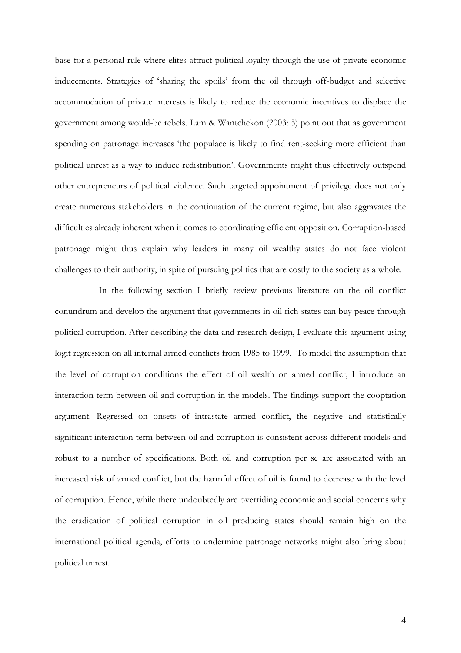base for a personal rule where elites attract political loyalty through the use of private economic inducements. Strategies of 'sharing the spoils' from the oil through off-budget and selective accommodation of private interests is likely to reduce the economic incentives to displace the government among would-be rebels. Lam & Wantchekon (2003: 5) point out that as government spending on patronage increases 'the populace is likely to find rent-seeking more efficient than political unrest as a way to induce redistribution'. Governments might thus effectively outspend other entrepreneurs of political violence. Such targeted appointment of privilege does not only create numerous stakeholders in the continuation of the current regime, but also aggravates the difficulties already inherent when it comes to coordinating efficient opposition. Corruption-based patronage might thus explain why leaders in many oil wealthy states do not face violent challenges to their authority, in spite of pursuing politics that are costly to the society as a whole.

In the following section I briefly review previous literature on the oil conflict conundrum and develop the argument that governments in oil rich states can buy peace through political corruption. After describing the data and research design, I evaluate this argument using logit regression on all internal armed conflicts from 1985 to 1999. To model the assumption that the level of corruption conditions the effect of oil wealth on armed conflict, I introduce an interaction term between oil and corruption in the models. The findings support the cooptation argument. Regressed on onsets of intrastate armed conflict, the negative and statistically significant interaction term between oil and corruption is consistent across different models and robust to a number of specifications. Both oil and corruption per se are associated with an increased risk of armed conflict, but the harmful effect of oil is found to decrease with the level of corruption. Hence, while there undoubtedly are overriding economic and social concerns why the eradication of political corruption in oil producing states should remain high on the international political agenda, efforts to undermine patronage networks might also bring about political unrest.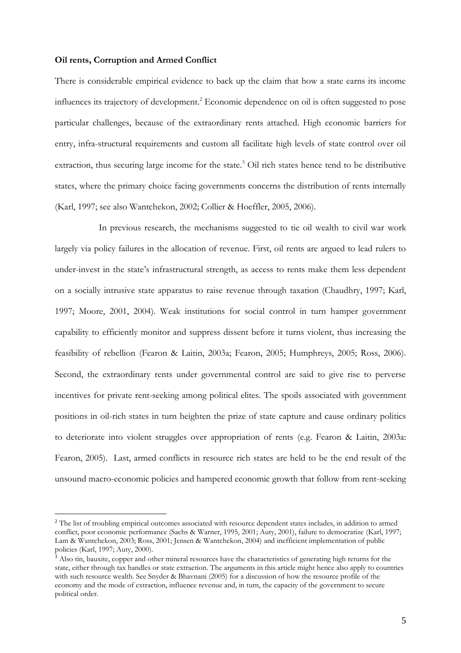#### **Oil rents, Corruption and Armed Conflict**

 $\overline{a}$ 

There is considerable empirical evidence to back up the claim that how a state earns its income influences its trajectory of development.<sup>2</sup> Economic dependence on oil is often suggested to pose particular challenges, because of the extraordinary rents attached. High economic barriers for entry, infra-structural requirements and custom all facilitate high levels of state control over oil extraction, thus securing large income for the state.<sup>3</sup> Oil rich states hence tend to be distributive states, where the primary choice facing governments concerns the distribution of rents internally (Karl, 1997; see also Wantchekon, 2002; Collier & Hoeffler, 2005, 2006).

In previous research, the mechanisms suggested to tie oil wealth to civil war work largely via policy failures in the allocation of revenue. First, oil rents are argued to lead rulers to under-invest in the state's infrastructural strength, as access to rents make them less dependent on a socially intrusive state apparatus to raise revenue through taxation (Chaudhry, 1997; Karl, 1997; Moore, 2001, 2004). Weak institutions for social control in turn hamper government capability to efficiently monitor and suppress dissent before it turns violent, thus increasing the feasibility of rebellion (Fearon & Laitin, 2003a; Fearon, 2005; Humphreys, 2005; Ross, 2006). Second, the extraordinary rents under governmental control are said to give rise to perverse incentives for private rent-seeking among political elites. The spoils associated with government positions in oil-rich states in turn heighten the prize of state capture and cause ordinary politics to deteriorate into violent struggles over appropriation of rents (e.g. Fearon & Laitin, 2003a: Fearon, 2005). Last, armed conflicts in resource rich states are held to be the end result of the unsound macro-economic policies and hampered economic growth that follow from rent-seeking

<sup>&</sup>lt;sup>2</sup> The list of troubling empirical outcomes associated with resource dependent states includes, in addition to armed conflict, poor economic performance (Sachs & Warner, 1995, 2001; Auty, 2001), failure to democratize (Karl, 1997; Lam & Wantchekon, 2003; Ross, 2001; Jensen & Wantchekon, 2004) and inefficient implementation of public policies (Karl, 1997; Auty, 2000).

<sup>&</sup>lt;sup>3</sup> Also tin, bauxite, copper and other mineral resources have the characteristics of generating high returns for the state, either through tax handles or state extraction. The arguments in this article might hence also apply to countries with such resource wealth. See Snyder & Bhavnani (2005) for a discussion of how the resource profile of the economy and the mode of extraction, influence revenue and, in turn, the capacity of the government to secure political order.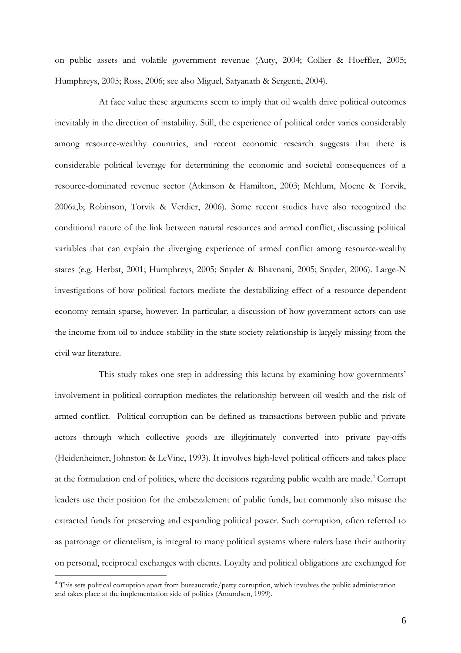on public assets and volatile government revenue (Auty, 2004; Collier & Hoeffler, 2005; Humphreys, 2005; Ross, 2006; see also Miguel, Satyanath & Sergenti, 2004).

At face value these arguments seem to imply that oil wealth drive political outcomes inevitably in the direction of instability. Still, the experience of political order varies considerably among resource-wealthy countries, and recent economic research suggests that there is considerable political leverage for determining the economic and societal consequences of a resource-dominated revenue sector (Atkinson & Hamilton, 2003; Mehlum, Moene & Torvik, 2006a,b; Robinson, Torvik & Verdier, 2006). Some recent studies have also recognized the conditional nature of the link between natural resources and armed conflict, discussing political variables that can explain the diverging experience of armed conflict among resource-wealthy states (e.g. Herbst, 2001; Humphreys, 2005; Snyder & Bhavnani, 2005; Snyder, 2006). Large-N investigations of how political factors mediate the destabilizing effect of a resource dependent economy remain sparse, however. In particular, a discussion of how government actors can use the income from oil to induce stability in the state society relationship is largely missing from the civil war literature.

This study takes one step in addressing this lacuna by examining how governments' involvement in political corruption mediates the relationship between oil wealth and the risk of armed conflict. Political corruption can be defined as transactions between public and private actors through which collective goods are illegitimately converted into private pay-offs (Heidenheimer, Johnston & LeVine, 1993). It involves high-level political officers and takes place at the formulation end of politics, where the decisions regarding public wealth are made.<sup>4</sup> Corrupt leaders use their position for the embezzlement of public funds, but commonly also misuse the extracted funds for preserving and expanding political power. Such corruption, often referred to as patronage or clientelism, is integral to many political systems where rulers base their authority on personal, reciprocal exchanges with clients. Loyalty and political obligations are exchanged for

<sup>4</sup> This sets political corruption apart from bureaucratic/petty corruption, which involves the public administration and takes place at the implementation side of politics (Amundsen, 1999).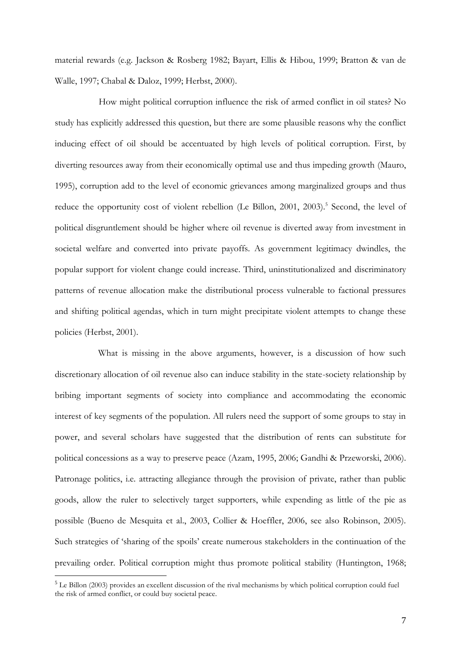material rewards (e.g. Jackson & Rosberg 1982; Bayart, Ellis & Hibou, 1999; Bratton & van de Walle, 1997; Chabal & Daloz, 1999; Herbst, 2000).

How might political corruption influence the risk of armed conflict in oil states? No study has explicitly addressed this question, but there are some plausible reasons why the conflict inducing effect of oil should be accentuated by high levels of political corruption. First, by diverting resources away from their economically optimal use and thus impeding growth (Mauro, 1995), corruption add to the level of economic grievances among marginalized groups and thus reduce the opportunity cost of violent rebellion (Le Billon, 2001, 2003).<sup>5</sup> Second, the level of political disgruntlement should be higher where oil revenue is diverted away from investment in societal welfare and converted into private payoffs. As government legitimacy dwindles, the popular support for violent change could increase. Third, uninstitutionalized and discriminatory patterns of revenue allocation make the distributional process vulnerable to factional pressures and shifting political agendas, which in turn might precipitate violent attempts to change these policies (Herbst, 2001).

What is missing in the above arguments, however, is a discussion of how such discretionary allocation of oil revenue also can induce stability in the state-society relationship by bribing important segments of society into compliance and accommodating the economic interest of key segments of the population. All rulers need the support of some groups to stay in power, and several scholars have suggested that the distribution of rents can substitute for political concessions as a way to preserve peace (Azam, 1995, 2006; Gandhi & Przeworski, 2006). Patronage politics, i.e. attracting allegiance through the provision of private, rather than public goods, allow the ruler to selectively target supporters, while expending as little of the pie as possible (Bueno de Mesquita et al., 2003, Collier & Hoeffler, 2006, see also Robinson, 2005). Such strategies of 'sharing of the spoils' create numerous stakeholders in the continuation of the prevailing order. Political corruption might thus promote political stability (Huntington, 1968;

<sup>5</sup> Le Billon (2003) provides an excellent discussion of the rival mechanisms by which political corruption could fuel the risk of armed conflict, or could buy societal peace.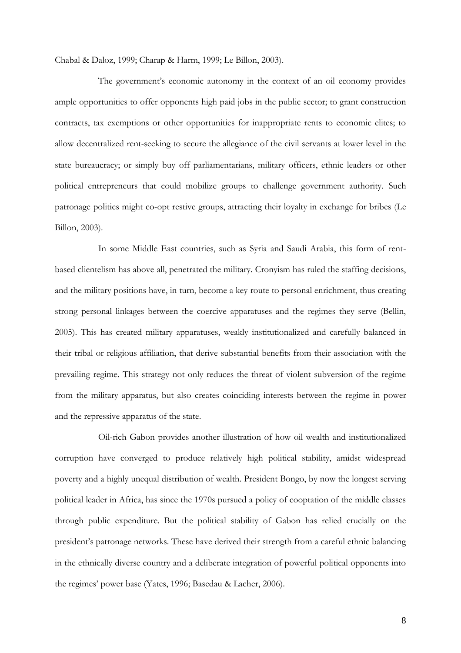Chabal & Daloz, 1999; Charap & Harm, 1999; Le Billon, 2003).

The government's economic autonomy in the context of an oil economy provides ample opportunities to offer opponents high paid jobs in the public sector; to grant construction contracts, tax exemptions or other opportunities for inappropriate rents to economic elites; to allow decentralized rent-seeking to secure the allegiance of the civil servants at lower level in the state bureaucracy; or simply buy off parliamentarians, military officers, ethnic leaders or other political entrepreneurs that could mobilize groups to challenge government authority. Such patronage politics might co-opt restive groups, attracting their loyalty in exchange for bribes (Le Billon, 2003).

In some Middle East countries, such as Syria and Saudi Arabia, this form of rentbased clientelism has above all, penetrated the military. Cronyism has ruled the staffing decisions, and the military positions have, in turn, become a key route to personal enrichment, thus creating strong personal linkages between the coercive apparatuses and the regimes they serve (Bellin, 2005). This has created military apparatuses, weakly institutionalized and carefully balanced in their tribal or religious affiliation, that derive substantial benefits from their association with the prevailing regime. This strategy not only reduces the threat of violent subversion of the regime from the military apparatus, but also creates coinciding interests between the regime in power and the repressive apparatus of the state.

Oil-rich Gabon provides another illustration of how oil wealth and institutionalized corruption have converged to produce relatively high political stability, amidst widespread poverty and a highly unequal distribution of wealth. President Bongo, by now the longest serving political leader in Africa, has since the 1970s pursued a policy of cooptation of the middle classes through public expenditure. But the political stability of Gabon has relied crucially on the president's patronage networks. These have derived their strength from a careful ethnic balancing in the ethnically diverse country and a deliberate integration of powerful political opponents into the regimes' power base (Yates, 1996; Basedau & Lacher, 2006).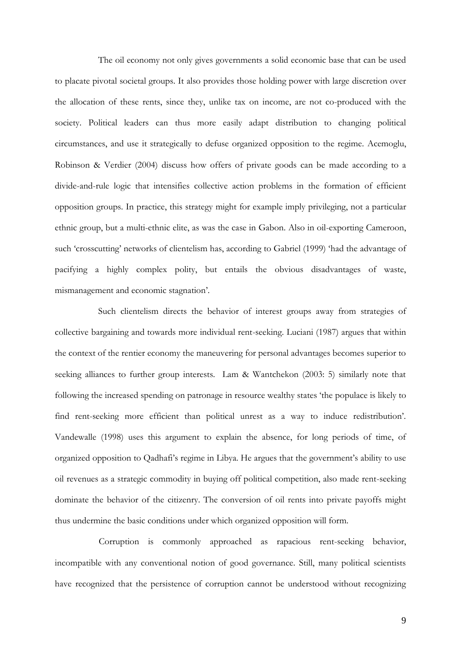The oil economy not only gives governments a solid economic base that can be used to placate pivotal societal groups. It also provides those holding power with large discretion over the allocation of these rents, since they, unlike tax on income, are not co-produced with the society. Political leaders can thus more easily adapt distribution to changing political circumstances, and use it strategically to defuse organized opposition to the regime. Acemoglu, Robinson & Verdier (2004) discuss how offers of private goods can be made according to a divide-and-rule logic that intensifies collective action problems in the formation of efficient opposition groups. In practice, this strategy might for example imply privileging, not a particular ethnic group, but a multi-ethnic elite, as was the case in Gabon. Also in oil-exporting Cameroon, such 'crosscutting' networks of clientelism has, according to Gabriel (1999) 'had the advantage of pacifying a highly complex polity, but entails the obvious disadvantages of waste, mismanagement and economic stagnation'.

Such clientelism directs the behavior of interest groups away from strategies of collective bargaining and towards more individual rent-seeking. Luciani (1987) argues that within the context of the rentier economy the maneuvering for personal advantages becomes superior to seeking alliances to further group interests. Lam & Wantchekon (2003: 5) similarly note that following the increased spending on patronage in resource wealthy states 'the populace is likely to find rent-seeking more efficient than political unrest as a way to induce redistribution'. Vandewalle (1998) uses this argument to explain the absence, for long periods of time, of organized opposition to Qadhafi's regime in Libya. He argues that the government's ability to use oil revenues as a strategic commodity in buying off political competition, also made rent-seeking dominate the behavior of the citizenry. The conversion of oil rents into private payoffs might thus undermine the basic conditions under which organized opposition will form.

Corruption is commonly approached as rapacious rent-seeking behavior, incompatible with any conventional notion of good governance. Still, many political scientists have recognized that the persistence of corruption cannot be understood without recognizing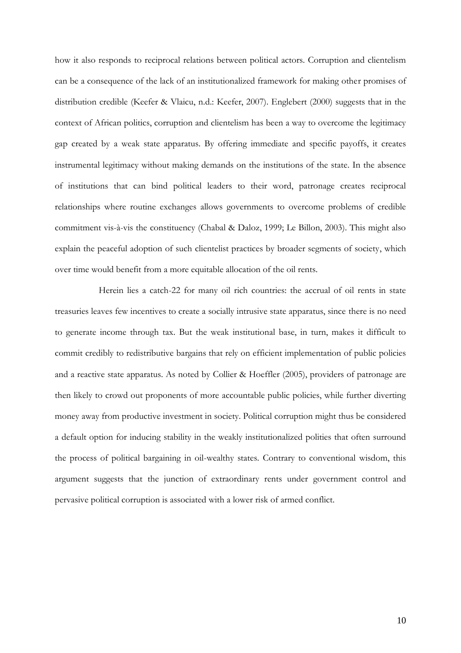how it also responds to reciprocal relations between political actors. Corruption and clientelism can be a consequence of the lack of an institutionalized framework for making other promises of distribution credible (Keefer & Vlaicu, n.d.: Keefer, 2007). Englebert (2000) suggests that in the context of African politics, corruption and clientelism has been a way to overcome the legitimacy gap created by a weak state apparatus. By offering immediate and specific payoffs, it creates instrumental legitimacy without making demands on the institutions of the state. In the absence of institutions that can bind political leaders to their word, patronage creates reciprocal relationships where routine exchanges allows governments to overcome problems of credible commitment vis-à-vis the constituency (Chabal & Daloz, 1999; Le Billon, 2003). This might also explain the peaceful adoption of such clientelist practices by broader segments of society, which over time would benefit from a more equitable allocation of the oil rents.

Herein lies a catch-22 for many oil rich countries: the accrual of oil rents in state treasuries leaves few incentives to create a socially intrusive state apparatus, since there is no need to generate income through tax. But the weak institutional base, in turn, makes it difficult to commit credibly to redistributive bargains that rely on efficient implementation of public policies and a reactive state apparatus. As noted by Collier & Hoeffler (2005), providers of patronage are then likely to crowd out proponents of more accountable public policies, while further diverting money away from productive investment in society. Political corruption might thus be considered a default option for inducing stability in the weakly institutionalized polities that often surround the process of political bargaining in oil-wealthy states. Contrary to conventional wisdom, this argument suggests that the junction of extraordinary rents under government control and pervasive political corruption is associated with a lower risk of armed conflict.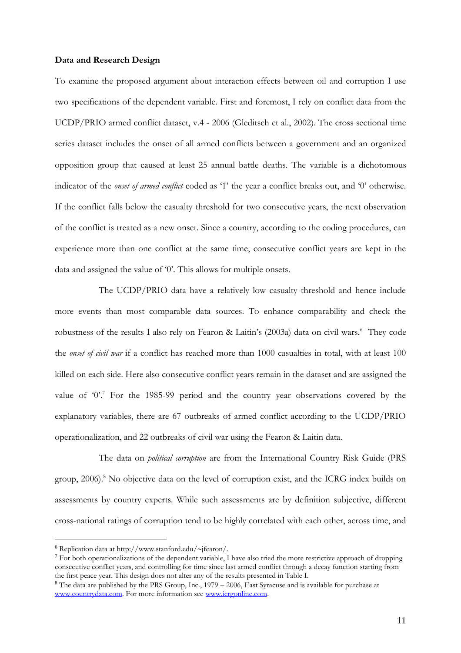#### **Data and Research Design**

To examine the proposed argument about interaction effects between oil and corruption I use two specifications of the dependent variable. First and foremost, I rely on conflict data from the UCDP/PRIO armed conflict dataset, v.4 - 2006 (Gleditsch et al., 2002). The cross sectional time series dataset includes the onset of all armed conflicts between a government and an organized opposition group that caused at least 25 annual battle deaths. The variable is a dichotomous indicator of the *onset of armed conflict* coded as '1' the year a conflict breaks out, and '0' otherwise. If the conflict falls below the casualty threshold for two consecutive years, the next observation of the conflict is treated as a new onset. Since a country, according to the coding procedures, can experience more than one conflict at the same time, consecutive conflict years are kept in the data and assigned the value of '0'. This allows for multiple onsets.

The UCDP/PRIO data have a relatively low casualty threshold and hence include more events than most comparable data sources. To enhance comparability and check the robustness of the results I also rely on Fearon & Laitin's (2003a) data on civil wars.<sup>6</sup> They code the *onset of civil war* if a conflict has reached more than 1000 casualties in total, with at least 100 killed on each side. Here also consecutive conflict years remain in the dataset and are assigned the value of '0'.<sup>7</sup> For the 1985-99 period and the country year observations covered by the explanatory variables, there are 67 outbreaks of armed conflict according to the UCDP/PRIO operationalization, and 22 outbreaks of civil war using the Fearon & Laitin data.

The data on *political corruption* are from the International Country Risk Guide (PRS group, 2006).<sup>8</sup> No objective data on the level of corruption exist, and the ICRG index builds on assessments by country experts. While such assessments are by definition subjective, different cross-national ratings of corruption tend to be highly correlated with each other, across time, and

 $6$  Replication data at http://www.stanford.edu/~jfearon/.

<sup>7</sup> For both operationalizations of the dependent variable, I have also tried the more restrictive approach of dropping consecutive conflict years, and controlling for time since last armed conflict through a decay function starting from the first peace year. This design does not alter any of the results presented in Table I.

<sup>8</sup> The data are published by the PRS Group, Inc., 1979 – 2006, East Syracuse and is available for purchase at [www.countrydata.com.](http://www.countrydata.com/) For more information see [www.icrgonline.com.](http://www.icrgonline.com/)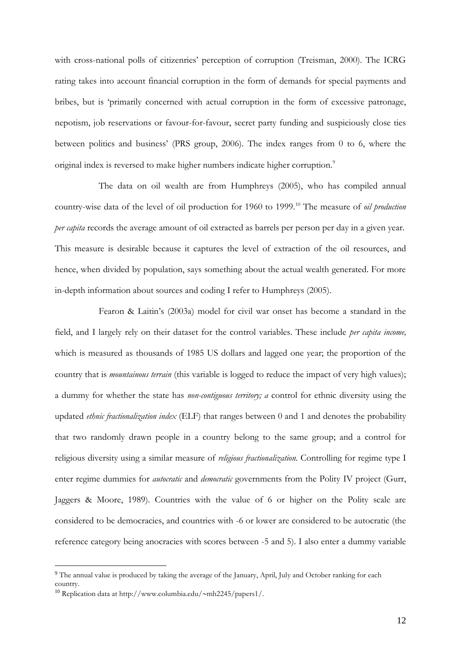with cross-national polls of citizenries' perception of corruption (Treisman, 2000). The ICRG rating takes into account financial corruption in the form of demands for special payments and bribes, but is 'primarily concerned with actual corruption in the form of excessive patronage, nepotism, job reservations or favour-for-favour, secret party funding and suspiciously close ties between politics and business' (PRS group, 2006). The index ranges from 0 to 6, where the original index is reversed to make higher numbers indicate higher corruption.<sup>9</sup>

The data on oil wealth are from Humphreys (2005), who has compiled annual country-wise data of the level of oil production for 1960 to 1999.<sup>10</sup> The measure of *oil production per capita* records the average amount of oil extracted as barrels per person per day in a given year. This measure is desirable because it captures the level of extraction of the oil resources, and hence, when divided by population, says something about the actual wealth generated. For more in-depth information about sources and coding I refer to Humphreys (2005).

Fearon & Laitin's (2003a) model for civil war onset has become a standard in the field, and I largely rely on their dataset for the control variables. These include *per capita income,* which is measured as thousands of 1985 US dollars and lagged one year; the proportion of the country that is *mountainous terrain* (this variable is logged to reduce the impact of very high values); a dummy for whether the state has *non-contiguous territory; a* control for ethnic diversity using the updated *ethnic fractionalization index* (ELF) that ranges between 0 and 1 and denotes the probability that two randomly drawn people in a country belong to the same group; and a control for religious diversity using a similar measure of *religious fractionalization.* Controlling for regime type I enter regime dummies for *autocratic* and *democratic* governments from the Polity IV project (Gurr, Jaggers & Moore, 1989). Countries with the value of 6 or higher on the Polity scale are considered to be democracies, and countries with -6 or lower are considered to be autocratic (the reference category being anocracies with scores between -5 and 5). I also enter a dummy variable

<sup>9</sup> The annual value is produced by taking the average of the January, April, July and October ranking for each country.

<sup>&</sup>lt;sup>10</sup> Replication data at http://www.columbia.edu/~mh2245/papers1/.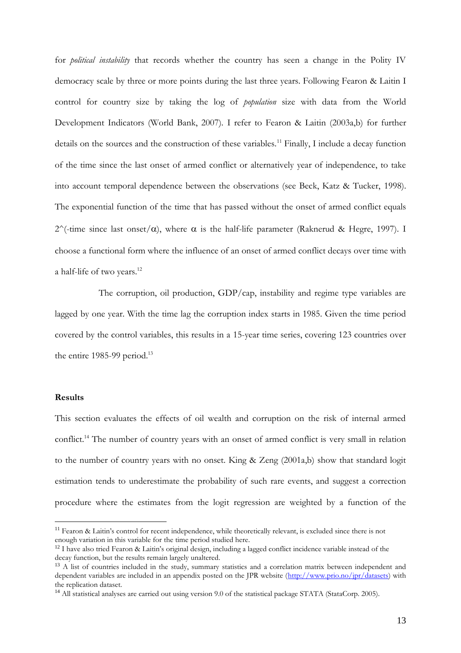for *political instability* that records whether the country has seen a change in the Polity IV democracy scale by three or more points during the last three years. Following Fearon & Laitin I control for country size by taking the log of *population* size with data from the World Development Indicators (World Bank, 2007)*.* I refer to Fearon & Laitin (2003a,b) for further details on the sources and the construction of these variables.<sup>11</sup> Finally, I include a decay function of the time since the last onset of armed conflict or alternatively year of independence, to take into account temporal dependence between the observations (see Beck, Katz & Tucker, 1998). The exponential function of the time that has passed without the onset of armed conflict equals  $2^{\wedge}$ (-time since last onset/ $\alpha$ ), where  $\alpha$  is the half-life parameter (Raknerud & Hegre, 1997). I choose a functional form where the influence of an onset of armed conflict decays over time with a half-life of two years.<sup>12</sup>

The corruption, oil production, GDP/cap, instability and regime type variables are lagged by one year. With the time lag the corruption index starts in 1985. Given the time period covered by the control variables, this results in a 15-year time series, covering 123 countries over the entire 1985-99 period.<sup>13</sup>

#### **Results**

 $\overline{a}$ 

This section evaluates the effects of oil wealth and corruption on the risk of internal armed conflict.<sup>14</sup> The number of country years with an onset of armed conflict is very small in relation to the number of country years with no onset. King & Zeng (2001a,b) show that standard logit estimation tends to underestimate the probability of such rare events, and suggest a correction procedure where the estimates from the logit regression are weighted by a function of the

 $11$  Fearon & Laitin's control for recent independence, while theoretically relevant, is excluded since there is not enough variation in this variable for the time period studied here.

 $12$  I have also tried Fearon & Laitin's original design, including a lagged conflict incidence variable instead of the decay function, but the results remain largely unaltered.

<sup>&</sup>lt;sup>13</sup> A list of countries included in the study, summary statistics and a correlation matrix between independent and dependent variables are included in an appendix posted on the JPR website [\(http://www.prio.no/jpr/datasets\)](http://www.prio.no/jpr/datasets) with the replication dataset.

<sup>14</sup> All statistical analyses are carried out using version 9.0 of the statistical package STATA (StataCorp. 2005).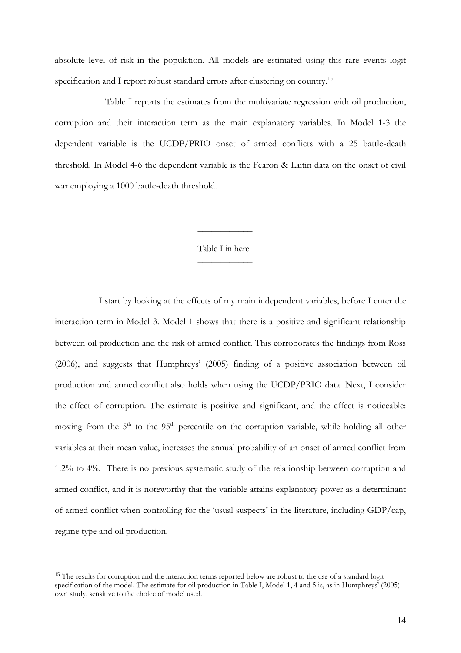absolute level of risk in the population. All models are estimated using this rare events logit specification and I report robust standard errors after clustering on country.<sup>15</sup>

Table I reports the estimates from the multivariate regression with oil production, corruption and their interaction term as the main explanatory variables. In Model 1-3 the dependent variable is the UCDP/PRIO onset of armed conflicts with a 25 battle-death threshold. In Model 4-6 the dependent variable is the Fearon & Laitin data on the onset of civil war employing a 1000 battle-death threshold.

# Table I in here  $\overline{\phantom{a}}$

 $\overline{\phantom{a}}$ 

I start by looking at the effects of my main independent variables, before I enter the interaction term in Model 3. Model 1 shows that there is a positive and significant relationship between oil production and the risk of armed conflict. This corroborates the findings from Ross (2006), and suggests that Humphreys' (2005) finding of a positive association between oil production and armed conflict also holds when using the UCDP/PRIO data. Next, I consider the effect of corruption. The estimate is positive and significant, and the effect is noticeable: moving from the 5<sup>th</sup> to the 95<sup>th</sup> percentile on the corruption variable, while holding all other variables at their mean value, increases the annual probability of an onset of armed conflict from 1.2% to 4%. There is no previous systematic study of the relationship between corruption and armed conflict, and it is noteworthy that the variable attains explanatory power as a determinant of armed conflict when controlling for the 'usual suspects' in the literature, including GDP/cap, regime type and oil production.

<sup>&</sup>lt;sup>15</sup> The results for corruption and the interaction terms reported below are robust to the use of a standard logit specification of the model. The estimate for oil production in Table I, Model 1, 4 and 5 is, as in Humphreys<sup>7</sup> (2005) own study, sensitive to the choice of model used.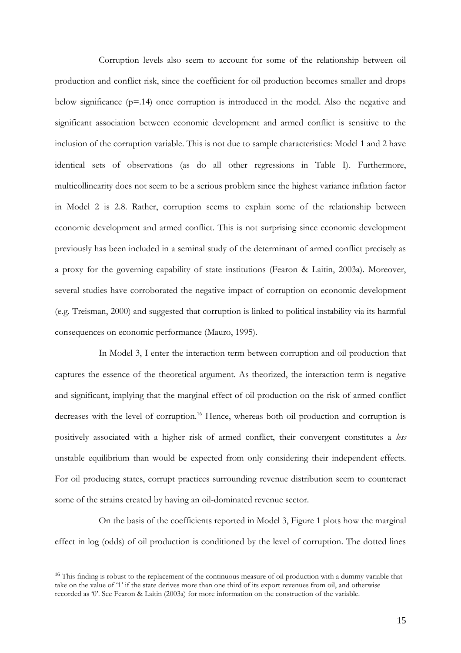Corruption levels also seem to account for some of the relationship between oil production and conflict risk, since the coefficient for oil production becomes smaller and drops below significance  $(p=14)$  once corruption is introduced in the model. Also the negative and significant association between economic development and armed conflict is sensitive to the inclusion of the corruption variable. This is not due to sample characteristics: Model 1 and 2 have identical sets of observations (as do all other regressions in Table I). Furthermore, multicollinearity does not seem to be a serious problem since the highest variance inflation factor in Model 2 is 2.8. Rather, corruption seems to explain some of the relationship between economic development and armed conflict. This is not surprising since economic development previously has been included in a seminal study of the determinant of armed conflict precisely as a proxy for the governing capability of state institutions (Fearon & Laitin, 2003a). Moreover, several studies have corroborated the negative impact of corruption on economic development (e.g. Treisman, 2000) and suggested that corruption is linked to political instability via its harmful consequences on economic performance (Mauro, 1995).

In Model 3, I enter the interaction term between corruption and oil production that captures the essence of the theoretical argument. As theorized, the interaction term is negative and significant, implying that the marginal effect of oil production on the risk of armed conflict decreases with the level of corruption.<sup>16</sup> Hence, whereas both oil production and corruption is positively associated with a higher risk of armed conflict, their convergent constitutes a *less* unstable equilibrium than would be expected from only considering their independent effects. For oil producing states, corrupt practices surrounding revenue distribution seem to counteract some of the strains created by having an oil-dominated revenue sector.

On the basis of the coefficients reported in Model 3, Figure 1 plots how the marginal effect in log (odds) of oil production is conditioned by the level of corruption. The dotted lines

<sup>&</sup>lt;sup>16</sup> This finding is robust to the replacement of the continuous measure of oil production with a dummy variable that take on the value of '1' if the state derives more than one third of its export revenues from oil, and otherwise recorded as '0'. See Fearon & Laitin (2003a) for more information on the construction of the variable.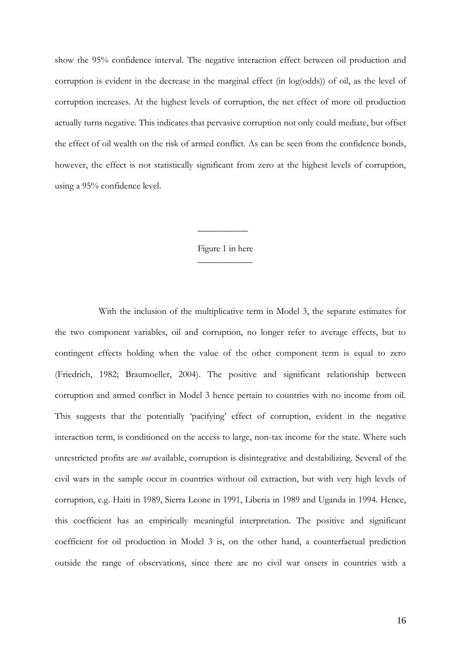show the 95% confidence interval. The negative interaction effect between oil production and corruption is evident in the decrease in the marginal effect (in log(odds)) of oil, as the level of corruption increases. At the highest levels of corruption, the net effect of more oil production actually turns negative. This indicates that pervasive corruption not only could mediate, but offset the effect of oil wealth on the risk of armed conflict. As can be seen from the confidence bonds, however, the effect is not statistically significant from zero at the highest levels of corruption, using a 95% confidence level.

# Figure 1 in here  $\overline{\phantom{a}}$

 $\overline{\phantom{a}}$ 

With the inclusion of the multiplicative term in Model 3, the separate estimates for the two component variables, oil and corruption, no longer refer to average effects, but to contingent effects holding when the value of the other component term is equal to zero (Friedrich, 1982; Braumoeller, 2004). The positive and significant relationship between corruption and armed conflict in Model 3 hence pertain to countries with no income from oil. This suggests that the potentially 'pacifying' effect of corruption, evident in the negative interaction term, is conditioned on the access to large, non-tax income for the state. Where such unrestricted profits are *not* available, corruption is disintegrative and destabilizing. Several of the civil wars in the sample occur in countries without oil extraction, but with very high levels of corruption, e.g. Haiti in 1989, Sierra Leone in 1991, Liberia in 1989 and Uganda in 1994. Hence, this coefficient has an empirically meaningful interpretation. The positive and significant coefficient for oil production in Model 3 is, on the other hand, a counterfactual prediction outside the range of observations, since there are no civil war onsets in countries with a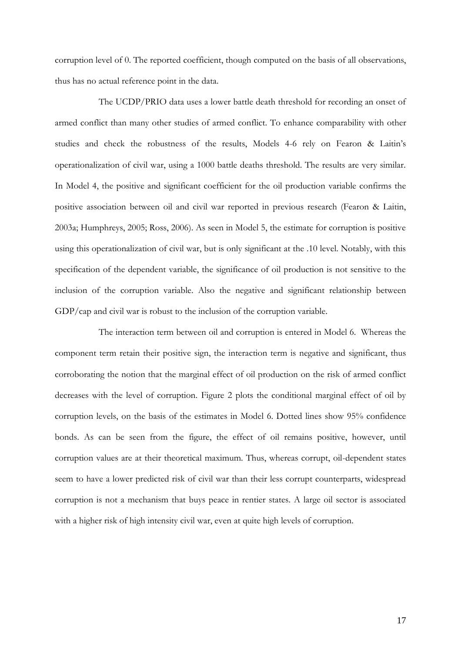corruption level of 0. The reported coefficient, though computed on the basis of all observations, thus has no actual reference point in the data.

The UCDP/PRIO data uses a lower battle death threshold for recording an onset of armed conflict than many other studies of armed conflict. To enhance comparability with other studies and check the robustness of the results, Models 4-6 rely on Fearon & Laitin's operationalization of civil war, using a 1000 battle deaths threshold. The results are very similar. In Model 4, the positive and significant coefficient for the oil production variable confirms the positive association between oil and civil war reported in previous research (Fearon & Laitin, 2003a; Humphreys, 2005; Ross, 2006). As seen in Model 5, the estimate for corruption is positive using this operationalization of civil war, but is only significant at the .10 level. Notably, with this specification of the dependent variable, the significance of oil production is not sensitive to the inclusion of the corruption variable. Also the negative and significant relationship between GDP/cap and civil war is robust to the inclusion of the corruption variable.

The interaction term between oil and corruption is entered in Model 6. Whereas the component term retain their positive sign, the interaction term is negative and significant, thus corroborating the notion that the marginal effect of oil production on the risk of armed conflict decreases with the level of corruption. Figure 2 plots the conditional marginal effect of oil by corruption levels, on the basis of the estimates in Model 6. Dotted lines show 95% confidence bonds. As can be seen from the figure, the effect of oil remains positive, however, until corruption values are at their theoretical maximum. Thus, whereas corrupt, oil-dependent states seem to have a lower predicted risk of civil war than their less corrupt counterparts, widespread corruption is not a mechanism that buys peace in rentier states. A large oil sector is associated with a higher risk of high intensity civil war, even at quite high levels of corruption.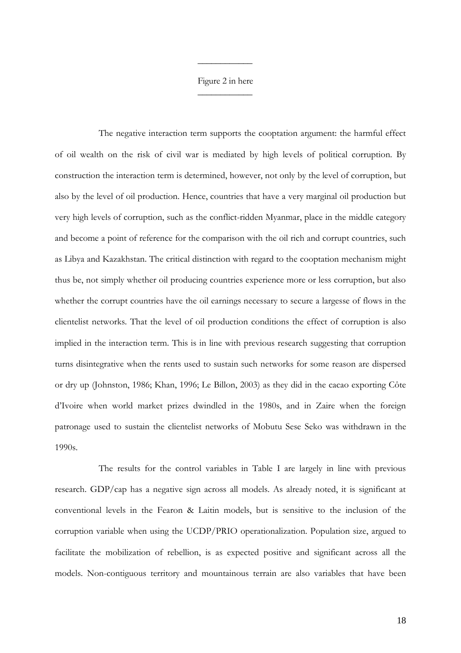# Figure 2 in here  $\overline{\phantom{a}}$

 $\overline{\phantom{a}}$ 

The negative interaction term supports the cooptation argument: the harmful effect of oil wealth on the risk of civil war is mediated by high levels of political corruption. By construction the interaction term is determined, however, not only by the level of corruption, but also by the level of oil production. Hence, countries that have a very marginal oil production but very high levels of corruption, such as the conflict-ridden Myanmar, place in the middle category and become a point of reference for the comparison with the oil rich and corrupt countries, such as Libya and Kazakhstan. The critical distinction with regard to the cooptation mechanism might thus be, not simply whether oil producing countries experience more or less corruption, but also whether the corrupt countries have the oil earnings necessary to secure a largesse of flows in the clientelist networks. That the level of oil production conditions the effect of corruption is also implied in the interaction term. This is in line with previous research suggesting that corruption turns disintegrative when the rents used to sustain such networks for some reason are dispersed or dry up (Johnston, 1986; Khan, 1996; Le Billon, 2003) as they did in the cacao exporting Côte d'Ivoire when world market prizes dwindled in the 1980s, and in Zaire when the foreign patronage used to sustain the clientelist networks of Mobutu Sese Seko was withdrawn in the 1990s.

The results for the control variables in Table I are largely in line with previous research. GDP/cap has a negative sign across all models. As already noted, it is significant at conventional levels in the Fearon & Laitin models, but is sensitive to the inclusion of the corruption variable when using the UCDP/PRIO operationalization. Population size, argued to facilitate the mobilization of rebellion, is as expected positive and significant across all the models. Non-contiguous territory and mountainous terrain are also variables that have been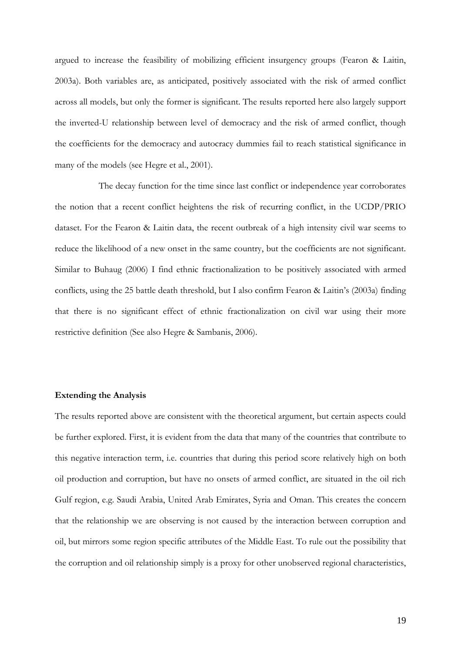argued to increase the feasibility of mobilizing efficient insurgency groups (Fearon & Laitin, 2003a). Both variables are, as anticipated, positively associated with the risk of armed conflict across all models, but only the former is significant. The results reported here also largely support the inverted-U relationship between level of democracy and the risk of armed conflict, though the coefficients for the democracy and autocracy dummies fail to reach statistical significance in many of the models (see Hegre et al., 2001).

The decay function for the time since last conflict or independence year corroborates the notion that a recent conflict heightens the risk of recurring conflict, in the UCDP/PRIO dataset. For the Fearon & Laitin data, the recent outbreak of a high intensity civil war seems to reduce the likelihood of a new onset in the same country, but the coefficients are not significant. Similar to Buhaug (2006) I find ethnic fractionalization to be positively associated with armed conflicts, using the 25 battle death threshold, but I also confirm Fearon & Laitin's (2003a) finding that there is no significant effect of ethnic fractionalization on civil war using their more restrictive definition (See also Hegre & Sambanis, 2006).

#### **Extending the Analysis**

The results reported above are consistent with the theoretical argument, but certain aspects could be further explored. First, it is evident from the data that many of the countries that contribute to this negative interaction term, i.e. countries that during this period score relatively high on both oil production and corruption, but have no onsets of armed conflict, are situated in the oil rich Gulf region, e.g. Saudi Arabia, United Arab Emirates, Syria and Oman. This creates the concern that the relationship we are observing is not caused by the interaction between corruption and oil, but mirrors some region specific attributes of the Middle East. To rule out the possibility that the corruption and oil relationship simply is a proxy for other unobserved regional characteristics,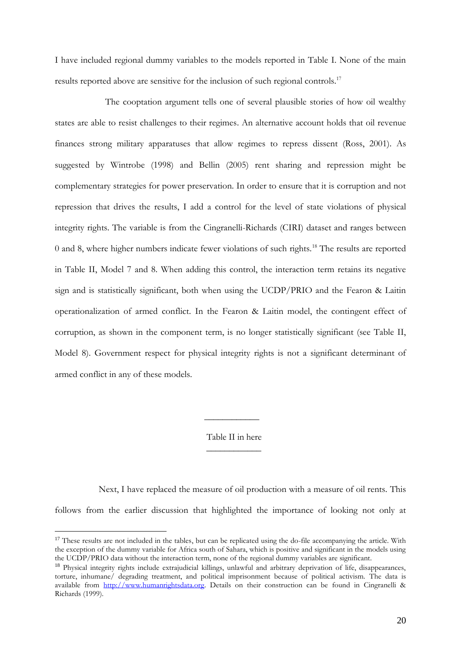I have included regional dummy variables to the models reported in Table I. None of the main results reported above are sensitive for the inclusion of such regional controls.<sup>17</sup>

The cooptation argument tells one of several plausible stories of how oil wealthy states are able to resist challenges to their regimes. An alternative account holds that oil revenue finances strong military apparatuses that allow regimes to repress dissent (Ross, 2001). As suggested by Wintrobe (1998) and Bellin (2005) rent sharing and repression might be complementary strategies for power preservation. In order to ensure that it is corruption and not repression that drives the results, I add a control for the level of state violations of physical integrity rights. The variable is from the Cingranelli-Richards (CIRI) dataset and ranges between 0 and 8, where higher numbers indicate fewer violations of such rights.<sup>18</sup> The results are reported in Table II, Model 7 and 8. When adding this control, the interaction term retains its negative sign and is statistically significant, both when using the UCDP/PRIO and the Fearon & Laitin operationalization of armed conflict. In the Fearon & Laitin model, the contingent effect of corruption, as shown in the component term, is no longer statistically significant (see Table II, Model 8). Government respect for physical integrity rights is not a significant determinant of armed conflict in any of these models.

> Table II in here  $\overline{\phantom{a}}$  , where  $\overline{\phantom{a}}$

 $\frac{1}{2}$ 

Next, I have replaced the measure of oil production with a measure of oil rents. This follows from the earlier discussion that highlighted the importance of looking not only at

<sup>&</sup>lt;sup>17</sup> These results are not included in the tables, but can be replicated using the do-file accompanying the article. With the exception of the dummy variable for Africa south of Sahara, which is positive and significant in the models using the UCDP/PRIO data without the interaction term, none of the regional dummy variables are significant.

<sup>&</sup>lt;sup>18</sup> Physical integrity rights include extrajudicial killings, unlawful and arbitrary deprivation of life, disappearances, torture, inhumane/ degrading treatment, and political imprisonment because of political activism. The data is available from [http://www.humanrightsdata.org.](http://www.humanrightsdata.org/) Details on their construction can be found in Cingranelli & Richards (1999).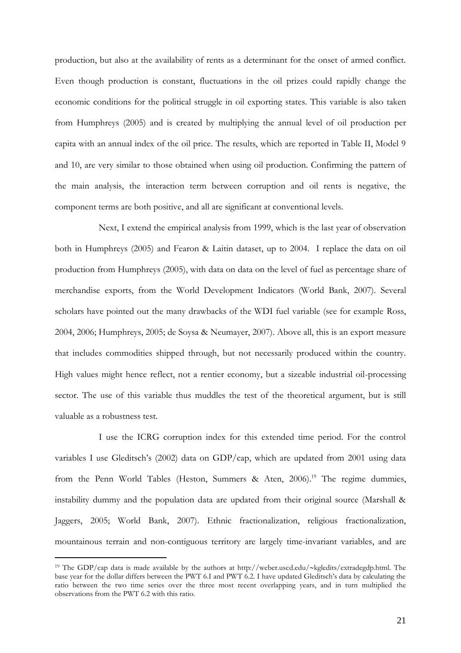production, but also at the availability of rents as a determinant for the onset of armed conflict. Even though production is constant, fluctuations in the oil prizes could rapidly change the economic conditions for the political struggle in oil exporting states. This variable is also taken from Humphreys (2005) and is created by multiplying the annual level of oil production per capita with an annual index of the oil price. The results, which are reported in Table II, Model 9 and 10, are very similar to those obtained when using oil production. Confirming the pattern of the main analysis, the interaction term between corruption and oil rents is negative, the component terms are both positive, and all are significant at conventional levels.

Next, I extend the empirical analysis from 1999, which is the last year of observation both in Humphreys (2005) and Fearon & Laitin dataset, up to 2004. I replace the data on oil production from Humphreys (2005), with data on data on the level of fuel as percentage share of merchandise exports, from the World Development Indicators (World Bank, 2007). Several scholars have pointed out the many drawbacks of the WDI fuel variable (see for example Ross, 2004, 2006; Humphreys, 2005; de Soysa & Neumayer, 2007). Above all, this is an export measure that includes commodities shipped through, but not necessarily produced within the country. High values might hence reflect, not a rentier economy, but a sizeable industrial oil-processing sector. The use of this variable thus muddles the test of the theoretical argument, but is still valuable as a robustness test.

I use the ICRG corruption index for this extended time period. For the control variables I use Gleditsch's (2002) data on GDP/cap, which are updated from 2001 using data from the Penn World Tables (Heston, Summers & Aten, 2006).<sup>19</sup> The regime dummies, instability dummy and the population data are updated from their original source (Marshall & Jaggers, 2005; World Bank, 2007). Ethnic fractionalization, religious fractionalization, mountainous terrain and non-contiguous territory are largely time-invariant variables, and are

<sup>&</sup>lt;sup>19</sup> The GDP/cap data is made available by the authors at http://weber.uscd.edu/~kgledits/extradegdp.html. The base year for the dollar differs between the PWT 6.I and PWT 6.2. I have updated Gleditsch's data by calculating the ratio between the two time series over the three most recent overlapping years, and in turn multiplied the observations from the PWT 6.2 with this ratio.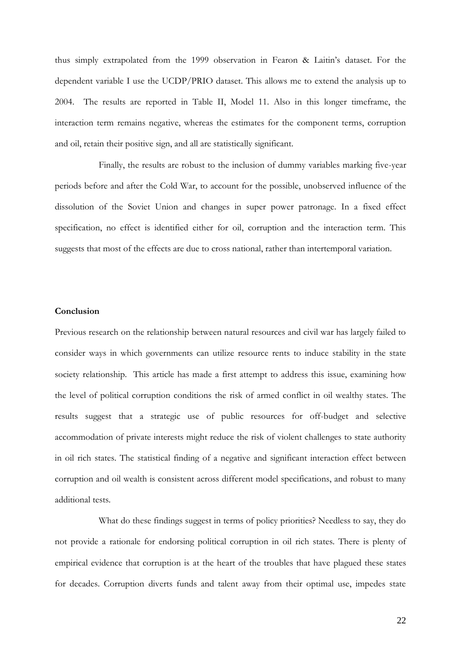thus simply extrapolated from the 1999 observation in Fearon & Laitin's dataset. For the dependent variable I use the UCDP/PRIO dataset. This allows me to extend the analysis up to 2004. The results are reported in Table II, Model 11. Also in this longer timeframe, the interaction term remains negative, whereas the estimates for the component terms, corruption and oil, retain their positive sign, and all are statistically significant.

Finally, the results are robust to the inclusion of dummy variables marking five-year periods before and after the Cold War, to account for the possible, unobserved influence of the dissolution of the Soviet Union and changes in super power patronage. In a fixed effect specification, no effect is identified either for oil, corruption and the interaction term. This suggests that most of the effects are due to cross national, rather than intertemporal variation.

#### **Conclusion**

Previous research on the relationship between natural resources and civil war has largely failed to consider ways in which governments can utilize resource rents to induce stability in the state society relationship. This article has made a first attempt to address this issue, examining how the level of political corruption conditions the risk of armed conflict in oil wealthy states. The results suggest that a strategic use of public resources for off-budget and selective accommodation of private interests might reduce the risk of violent challenges to state authority in oil rich states. The statistical finding of a negative and significant interaction effect between corruption and oil wealth is consistent across different model specifications, and robust to many additional tests.

What do these findings suggest in terms of policy priorities? Needless to say, they do not provide a rationale for endorsing political corruption in oil rich states. There is plenty of empirical evidence that corruption is at the heart of the troubles that have plagued these states for decades. Corruption diverts funds and talent away from their optimal use, impedes state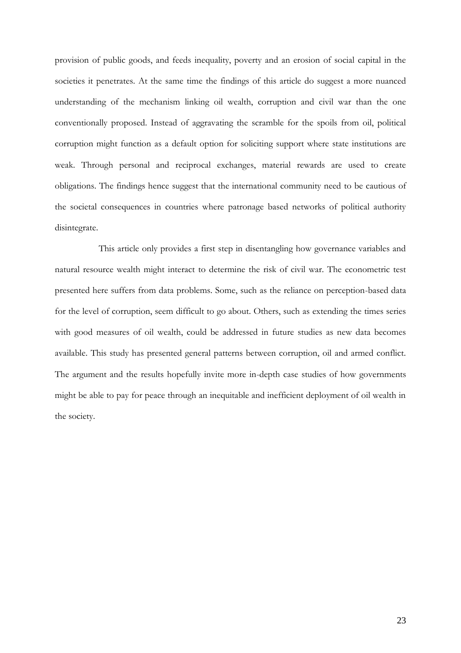provision of public goods, and feeds inequality, poverty and an erosion of social capital in the societies it penetrates. At the same time the findings of this article do suggest a more nuanced understanding of the mechanism linking oil wealth, corruption and civil war than the one conventionally proposed. Instead of aggravating the scramble for the spoils from oil, political corruption might function as a default option for soliciting support where state institutions are weak. Through personal and reciprocal exchanges, material rewards are used to create obligations. The findings hence suggest that the international community need to be cautious of the societal consequences in countries where patronage based networks of political authority disintegrate.

This article only provides a first step in disentangling how governance variables and natural resource wealth might interact to determine the risk of civil war. The econometric test presented here suffers from data problems. Some, such as the reliance on perception-based data for the level of corruption, seem difficult to go about. Others, such as extending the times series with good measures of oil wealth, could be addressed in future studies as new data becomes available. This study has presented general patterns between corruption, oil and armed conflict. The argument and the results hopefully invite more in-depth case studies of how governments might be able to pay for peace through an inequitable and inefficient deployment of oil wealth in the society.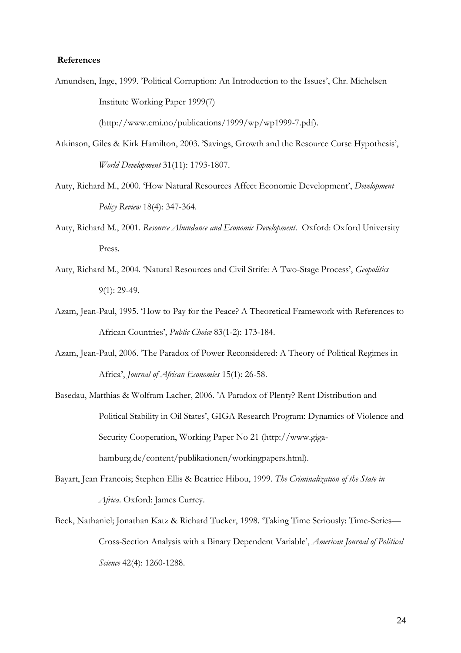# **References**

Amundsen, Inge, 1999. 'Political Corruption: An Introduction to the Issues', Chr. Michelsen Institute Working Paper 1999(7)

(http://www.cmi.no/publications/1999/wp/wp1999-7.pdf).

- Atkinson, Giles & Kirk Hamilton, 2003. 'Savings, Growth and the Resource Curse Hypothesis', *World Development* 31(11): 1793-1807.
- Auty, Richard M., 2000. 'How Natural Resources Affect Economic Development', *Development Policy Review* 18(4): 347-364.
- Auty, Richard M., 2001. *Resource Abundance and Economic Development*. Oxford: Oxford University Press.
- Auty, Richard M., 2004. 'Natural Resources and Civil Strife: A Two-Stage Process', *Geopolitics* 9(1): 29-49.
- Azam, Jean-Paul, 1995. 'How to Pay for the Peace? A Theoretical Framework with References to African Countries', *Public Choice* 83(1-2): 173-184.
- Azam, Jean-Paul, 2006. 'The Paradox of Power Reconsidered: A Theory of Political Regimes in Africa', *Journal of African Economies* 15(1): 26-58.
- Basedau, Matthias & Wolfram Lacher, 2006. 'A Paradox of Plenty? Rent Distribution and Political Stability in Oil States', GIGA Research Program: Dynamics of Violence and Security Cooperation, Working Paper No 21 (http://www.gigahamburg.de/content/publikationen/workingpapers.html).
- Bayart, Jean Francois; Stephen Ellis & Beatrice Hibou, 1999. *The Criminalization of the State in Africa*. Oxford: James Currey.
- Beck, Nathaniel; Jonathan Katz & Richard Tucker, 1998. 'Taking Time Seriously: Time-Series— Cross-Section Analysis with a Binary Dependent Variable', *American Journal of Political Science* 42(4): 1260-1288.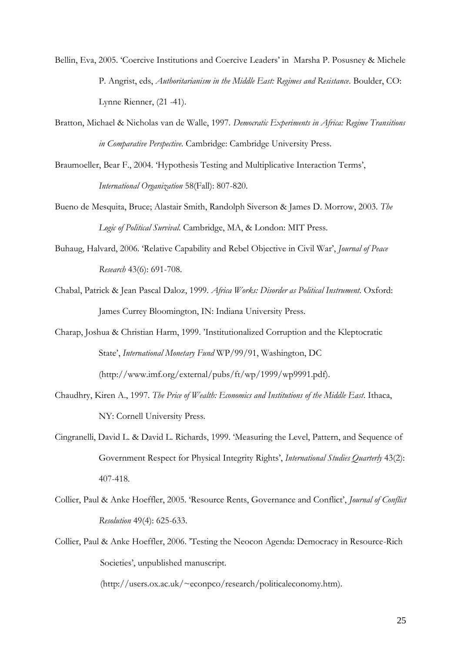- Bellin, Eva, 2005. 'Coercive Institutions and Coercive Leaders' in Marsha P. Posusney & Michele P. Angrist, eds, *Authoritarianism in the Middle East: Regimes and Resistance*. Boulder, CO: Lynne Rienner, (21 -41).
- Bratton, Michael & Nicholas van de Walle, 1997. *Democratic Experiments in Africa: Regime Transitions in Comparative Perspective.* Cambridge: Cambridge University Press.
- Braumoeller, Bear F., 2004. 'Hypothesis Testing and Multiplicative Interaction Terms', *International Organization* 58(Fall): 807-820.
- Bueno de Mesquita, Bruce; Alastair Smith, Randolph Siverson & James D. Morrow, 2003. *The Logic of Political Survival*. Cambridge, MA, & London: MIT Press.
- Buhaug, Halvard, 2006. 'Relative Capability and Rebel Objective in Civil War', *Journal of Peace Research* 43(6): 691-708.
- Chabal, Patrick & Jean Pascal Daloz, 1999*. Africa Works: Disorder as Political Instrument.* Oxford: James Currey Bloomington, IN: Indiana University Press.
- Charap, Joshua & Christian Harm, 1999. 'Institutionalized Corruption and the Kleptocratic State', *International Monetary Fund* WP/99/91, Washington, DC (http://www.imf.org/external/pubs/ft/wp/1999/wp9991.pdf).
- Chaudhry, Kiren A., 1997. *The Price of Wealth: Economics and Institutions of the Middle East*. Ithaca, NY: Cornell University Press.
- Cingranelli, David L. & David L. Richards, 1999. 'Measuring the Level, Pattern, and Sequence of Government Respect for Physical Integrity Rights', *International Studies Quarterly* 43(2): 407-418.
- Collier, Paul & Anke Hoeffler, 2005. 'Resource Rents, Governance and Conflict', *Journal of Conflict Resolution* 49(4): 625-633.
- Collier, Paul & Anke Hoeffler, 2006. 'Testing the Neocon Agenda: Democracy in Resource-Rich Societies', unpublished manuscript.

(http://users.ox.ac.uk/~econpco/research/politicaleconomy.htm).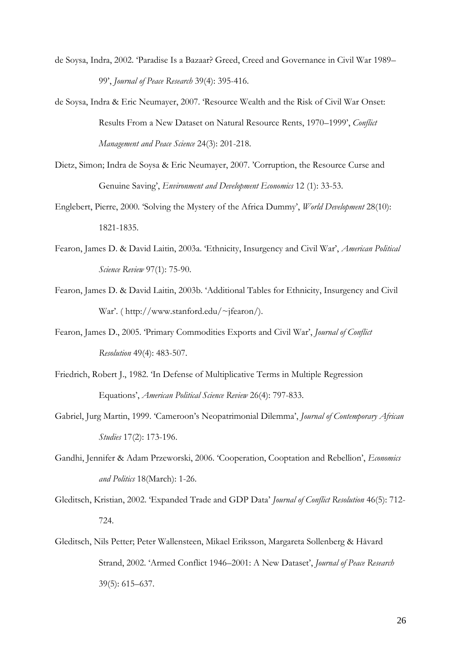- de Soysa, Indra, 2002. 'Paradise Is a Bazaar? Greed, Creed and Governance in Civil War 1989– 99', *Journal of Peace Research* 39(4): 395-416.
- de Soysa, Indra & Eric Neumayer, 2007. 'Resource Wealth and the Risk of Civil War Onset: Results From a New Dataset on Natural Resource Rents, 1970–1999', *Conflict Management and Peace Science* 24(3): 201-218.
- Dietz, Simon; Indra de Soysa & Eric Neumayer, 2007. 'Corruption, the Resource Curse and Genuine Saving', *Environment and Development Economics* 12 (1): 33-53.
- Englebert, Pierre, 2000. 'Solving the Mystery of the Africa Dummy', *World Development* 28(10): 1821-1835.
- Fearon, James D. & David Laitin, 2003a. 'Ethnicity, Insurgency and Civil War', *American Political Science Review* 97(1): 75-90.
- Fearon, James D. & David Laitin, 2003b. 'Additional Tables for Ethnicity, Insurgency and Civil War'. ( http://www.stanford.edu/~jfearon/).
- Fearon, James D., 2005. 'Primary Commodities Exports and Civil War', *Journal of Conflict Resolution* 49(4): 483-507.
- Friedrich, Robert J., 1982. 'In Defense of Multiplicative Terms in Multiple Regression Equations', *American Political Science Review* 26(4): 797-833.
- Gabriel, Jurg Martin, 1999. 'Cameroon's Neopatrimonial Dilemma', *Journal of Contemporary African Studies* 17(2): 173-196.
- Gandhi, Jennifer & Adam Przeworski, 2006. 'Cooperation, Cooptation and Rebellion', *Economics and Politics* 18(March): 1-26.
- Gleditsch, Kristian, 2002. 'Expanded Trade and GDP Data' *Journal of Conflict Resolution* 46(5): 712- 724.
- Gleditsch, Nils Petter; Peter Wallensteen, Mikael Eriksson, Margareta Sollenberg & Håvard Strand, 2002. 'Armed Conflict 1946–2001: A New Dataset', *Journal of Peace Research* 39(5): 615–637.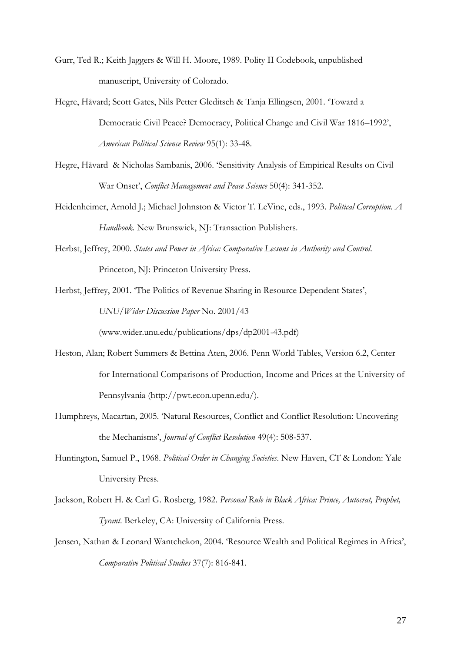- Gurr, Ted R.; Keith Jaggers & Will H. Moore, 1989. Polity II Codebook, unpublished manuscript, University of Colorado.
- Hegre, Håvard; Scott Gates, Nils Petter Gleditsch & Tanja Ellingsen, 2001. 'Toward a Democratic Civil Peace? Democracy, Political Change and Civil War 1816–1992', *American Political Science Review* 95(1): 33-48.
- Hegre, Håvard & Nicholas Sambanis, 2006. 'Sensitivity Analysis of Empirical Results on Civil War Onset', *Conflict Management and Peace Science* 50(4): 341-352.
- Heidenheimer, Arnold J.; Michael Johnston & Victor T. LeVine, eds., 1993. *Political Corruption. A Handbook.* New Brunswick, NJ: Transaction Publishers.
- Herbst, Jeffrey, 2000. *States and Power in Africa: Comparative Lessons in Authority and Control*. Princeton, NJ: Princeton University Press.

Herbst, Jeffrey, 2001. 'The Politics of Revenue Sharing in Resource Dependent States', *UNU/Wider Discussion Paper* No. 2001/43

(www.wider.unu.edu/publications/dps/dp2001-43.pdf)

- Heston, Alan; Robert Summers & Bettina Aten, 2006. Penn World Tables, Version 6.2, Center for International Comparisons of Production, Income and Prices at the University of Pennsylvania (http://pwt.econ.upenn.edu/).
- Humphreys, Macartan, 2005. 'Natural Resources, Conflict and Conflict Resolution: Uncovering the Mechanisms', *Journal of Conflict Resolution* 49(4): 508-537.
- Huntington, Samuel P., 1968. *Political Order in Changing Societies*. New Haven, CT & London: Yale University Press.
- Jackson, Robert H. & Carl G. Rosberg, 1982. *Personal Rule in Black Africa: Prince, Autocrat, Prophet, Tyrant*. Berkeley, CA: University of California Press.
- Jensen, Nathan & Leonard Wantchekon, 2004. 'Resource Wealth and Political Regimes in Africa', *Comparative Political Studies* 37(7): 816-841.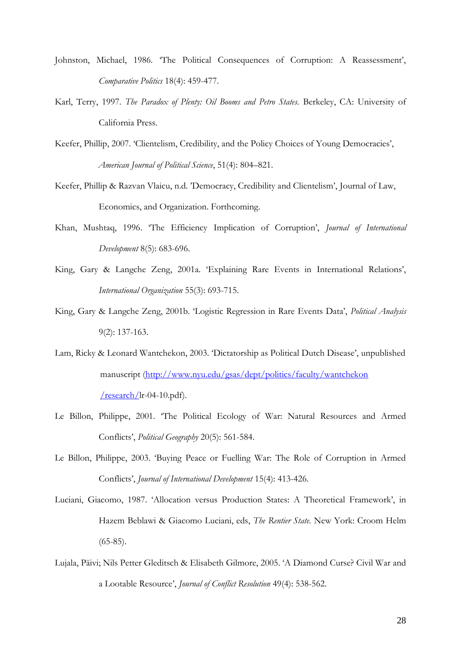- Johnston, Michael, 1986. 'The Political Consequences of Corruption: A Reassessment', *Comparative Politics* 18(4): 459-477.
- Karl, Terry, 1997. *The Paradox of Plenty: Oil Booms and Petro States.* Berkeley, CA: University of California Press.
- Keefer, Phillip, 2007. 'Clientelism, Credibility, and the Policy Choices of Young Democracies', *American Journal of Political Science*, 51(4): 804–821.
- Keefer, Phillip & Razvan Vlaicu, n.d. 'Democracy, Credibility and Clientelism', Journal of Law, Economics, and Organization. Forthcoming.
- Khan, Mushtaq, 1996. 'The Efficiency Implication of Corruption', *Journal of International Development* 8(5): 683-696.
- King, Gary & Langche Zeng, 2001a. 'Explaining Rare Events in International Relations', *International Organization* 55(3): 693-715.
- King, Gary & Langche Zeng, 2001b. 'Logistic Regression in Rare Events Data', *Political Analysis* 9(2): 137-163.
- Lam, Ricky & Leonard Wantchekon, 2003. 'Dictatorship as Political Dutch Disease', unpublished manuscript [\(http://www.nyu.edu/gsas/dept/politics/faculty/wantchekon](http://www.nyu.edu/gsas/dept/politics/faculty/wantchekon%20/research/)   $research/lr-04-10.pdf$ .
- Le Billon, Philippe, 2001. 'The Political Ecology of War: Natural Resources and Armed Conflicts', *Political Geography* 20(5): 561-584.
- Le Billon, Philippe, 2003. 'Buying Peace or Fuelling War: The Role of Corruption in Armed Conflicts', *Journal of International Development* 15(4): 413-426.
- Luciani, Giacomo, 1987. 'Allocation versus Production States: A Theoretical Framework', in Hazem Beblawi & Giacomo Luciani, eds, *The Rentier State.* New York: Croom Helm  $(65-85)$ .
- Lujala, Päivi; Nils Petter Gleditsch & Elisabeth Gilmore, 2005. 'A Diamond Curse? Civil War and a Lootable Resource', *Journal of Conflict Resolution* 49(4): 538-562.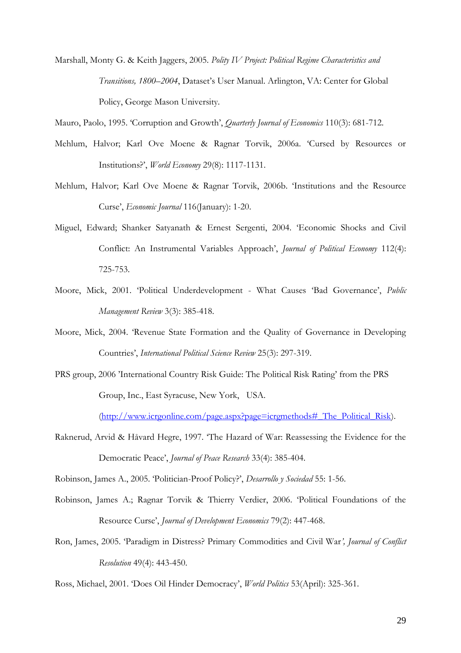Marshall, Monty G. & Keith Jaggers, 2005. *Polity IV Project: Political Regime Characteristics and Transitions, 1800–2004*, Dataset's User Manual. Arlington, VA: Center for Global Policy, George Mason University.

Mauro, Paolo, 1995. 'Corruption and Growth', *Quarterly Journal of Economics* 110(3): 681-712.

- Mehlum, Halvor; Karl Ove Moene & Ragnar Torvik, 2006a. 'Cursed by Resources or Institutions?', *World Economy* 29(8): 1117-1131.
- Mehlum, Halvor; Karl Ove Moene & Ragnar Torvik, 2006b. 'Institutions and the Resource Curse', *Economic Journal* 116(January): 1-20.
- Miguel, Edward; Shanker Satyanath & Ernest Sergenti, 2004. 'Economic Shocks and Civil Conflict: An Instrumental Variables Approach', *Journal of Political Economy* 112(4): 725-753.
- Moore, Mick, 2001. 'Political Underdevelopment What Causes 'Bad Governance', *Public Management Review* 3(3): 385-418.
- Moore, Mick, 2004. 'Revenue State Formation and the Quality of Governance in Developing Countries', *International Political Science Review* 25(3): 297-319.
- PRS group, 2006 'International Country Risk Guide: The Political Risk Rating' from the PRS Group, Inc., East Syracuse, New York, USA.

(http://www.icrgonline.com/page.aspx?page=icrgmethods# The Political Risk).

Raknerud, Arvid & Håvard Hegre, 1997. 'The Hazard of War: Reassessing the Evidence for the Democratic Peace', *Journal of Peace Research* 33(4): 385-404.

Robinson, James A., 2005. 'Politician-Proof Policy?', *Desarrollo y Sociedad* 55: 1-56.

- Robinson, James A.; Ragnar Torvik & Thierry Verdier, 2006. 'Political Foundations of the Resource Curse', *Journal of Development Economics* 79(2): 447-468.
- Ron, James, 2005. 'Paradigm in Distress? Primary Commodities and Civil War*', Journal of Conflict Resolution* 49(4): 443-450.

Ross, Michael, 2001. 'Does Oil Hinder Democracy', *World Politics* 53(April): 325-361.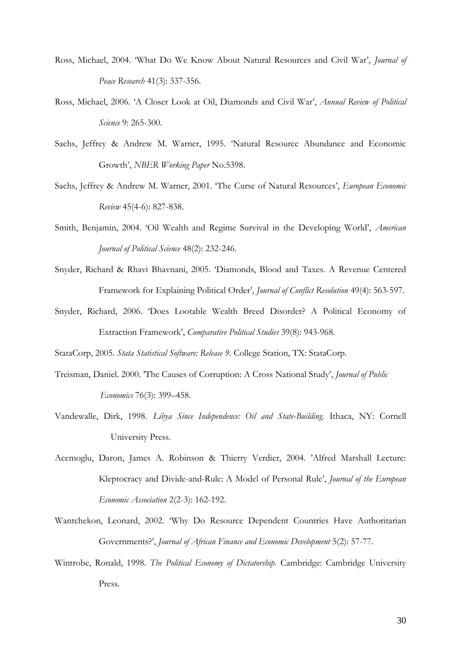- Ross, Michael, 2004. 'What Do We Know About Natural Resources and Civil War', *Journal of Peace Research* 41(3): 337-356.
- Ross, Michael, 2006. 'A Closer Look at Oil, Diamonds and Civil War', *Annual Review of Political Science* 9: 265-300.
- Sachs, Jeffrey & Andrew M. Warner, 1995. 'Natural Resource Abundance and Economic Growth', *NBER Working Paper* No.5398.
- Sachs, Jeffrey & Andrew M. Warner, 2001. 'The Curse of Natural Resources', *European Economic Review* 45(4-6): 827-838.
- Smith, Benjamin, 2004. 'Oil Wealth and Regime Survival in the Developing World', *American Journal of Political Science* 48(2): 232-246.
- Snyder, Richard & Rhavi Bhavnani, 2005. 'Diamonds, Blood and Taxes. A Revenue Centered Framework for Explaining Political Order', *Journal of Conflict Resolution* 49(4): 563-597.
- Snyder, Richard, 2006. 'Does Lootable Wealth Breed Disorder? A Political Economy of Extraction Framework', *Comparative Political Studies* 39(8): 943-968.

StataCorp, 2005. *Stata Statistical Software: Release 9*. College Station, TX: StataCorp.

- Treisman, Daniel. 2000. 'The Causes of Corruption: A Cross National Study', *Journal of Public Economics* 76(3): 399–458.
- Vandewalle, Dirk, 1998. *Libya Since Independence: Oil and State-Building.* Ithaca, NY: Cornell University Press.
- Acemoglu, Daron, James A. Robinson & Thierry Verdier, 2004. 'Alfred Marshall Lecture: Kleptocracy and Divide-and-Rule: A Model of Personal Rule', *Journal of the European Economic Association* 2(2-3): 162-192.
- Wantchekon, Leonard, 2002. 'Why Do Resource Dependent Countries Have Authoritarian Governments?', *Journal of African Finance and Economic Development* 5(2): 57-77.
- Wintrobe, Ronald, 1998. *The Political Economy of Dictatorship.* Cambridge: Cambridge University Press.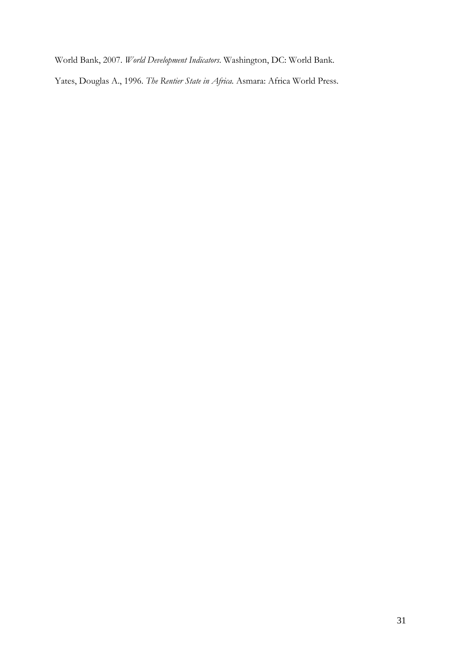World Bank, 2007. *World Development Indicators*. Washington, DC: World Bank.

Yates, Douglas A., 1996. *The Rentier State in Africa.* Asmara: Africa World Press.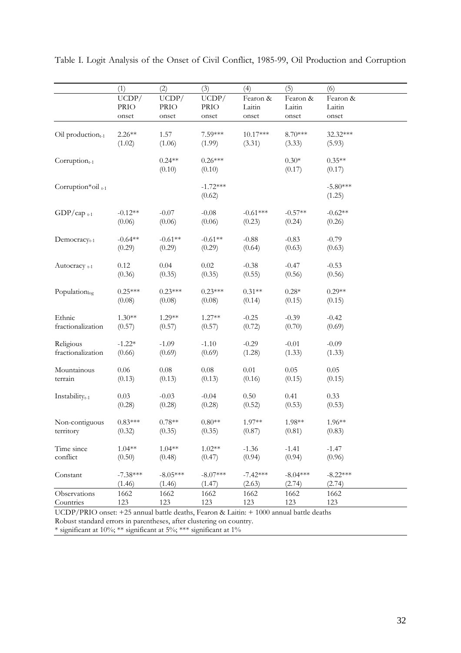|                            | (1)        | (2)         | (3)         | (4)        | (5)        | (6)        |
|----------------------------|------------|-------------|-------------|------------|------------|------------|
|                            | UCDP/      | UCDP/       | UCDP/       | Fearon &   | Fearon &   | Fearon &   |
|                            | PRIO       | <b>PRIO</b> | <b>PRIO</b> | Laitin     | Laitin     | Laitin     |
|                            | onset      | onset       | onset       | onset      | onset      | onset      |
|                            |            |             |             | 10.17***   |            |            |
| $Oil$ production $_{t-1}$  | $2.26**$   | 1.57        | 7.59***     |            | 8.70***    | 32.32***   |
|                            | (1.02)     | (1.06)      | (1.99)      | (3.31)     | (3.33)     | (5.93)     |
| $Corruption_{t-1}$         |            | $0.24**$    | $0.26***$   |            | $0.30*$    | $0.35**$   |
|                            |            | (0.10)      | (0.10)      |            | (0.17)     | (0.17)     |
| Corruption*oil t-1         |            |             | $-1.72***$  |            |            | $-5.80***$ |
|                            |            |             | (0.62)      |            |            | (1.25)     |
|                            |            |             |             |            |            |            |
| $GDP/cap$ <sub>t-1</sub>   | $-0.12**$  | $-0.07$     | $-0.08$     | $-0.61***$ | $-0.57**$  | $-0.62**$  |
|                            | (0.06)     | (0.06)      | (0.06)      | (0.23)     | (0.24)     | (0.26)     |
| Democracy <sub>t-1</sub>   | $-0.64**$  | $-0.61**$   | $-0.61**$   | $-0.88$    | $-0.83$    | $-0.79$    |
|                            | (0.29)     | (0.29)      | (0.29)      | (0.64)     | (0.63)     | (0.63)     |
|                            |            |             |             |            |            |            |
| Autocracy $_{t-1}$         | 0.12       | 0.04        | $0.02\,$    | $-0.38$    | $-0.47$    | $-0.53$    |
|                            | (0.36)     | (0.35)      | (0.35)      | (0.55)     | (0.56)     | (0.56)     |
|                            | $0.25***$  | $0.23***$   | $0.23***$   | $0.31**$   | $0.28*$    | $0.29**$   |
| Populationlog              |            |             |             |            |            |            |
|                            | (0.08)     | (0.08)      | (0.08)      | (0.14)     | (0.15)     | (0.15)     |
| Ethnic                     | $1.30**$   | $1.29**$    | $1.27**$    | $-0.25$    | $-0.39$    | $-0.42$    |
| fractionalization          | (0.57)     | (0.57)      | (0.57)      | (0.72)     | (0.70)     | (0.69)     |
|                            |            |             |             |            |            |            |
| Religious                  | $-1.22*$   | $-1.09$     | $-1.10$     | $-0.29$    | $-0.01$    | $-0.09$    |
| fractionalization          | (0.66)     | (0.69)      | (0.69)      | (1.28)     | (1.33)     | (1.33)     |
| Mountainous                | $0.06\,$   | $0.08\,$    | $0.08\,$    | $0.01\,$   | 0.05       | 0.05       |
| terrain                    | (0.13)     | (0.13)      | (0.13)      | (0.16)     | (0.15)     | (0.15)     |
|                            |            |             |             |            |            |            |
| Instability <sub>t-1</sub> | 0.03       | $-0.03$     | $-0.04$     | 0.50       | 0.41       | 0.33       |
|                            | (0.28)     | (0.28)      | (0.28)      | (0.52)     | (0.53)     | (0.53)     |
| Non-contiguous             | $0.83***$  | $0.78**$    | $0.80**$    | 1.97**     | 1.98**     | 1.96**     |
| territory                  | (0.32)     | (0.35)      | (0.35)      | (0.87)     | (0.81)     | (0.83)     |
|                            |            |             |             |            |            |            |
| Time since                 | $1.04**$   | $1.04**$    | $1.02**$    | $-1.36$    | $-1.41$    | $-1.47$    |
| conflict                   | (0.50)     | (0.48)      | (0.47)      | (0.94)     | (0.94)     | (0.96)     |
| Constant                   | $-7.38***$ | $-8.05***$  | $-8.07***$  | $-7.42***$ | $-8.04***$ | $-8.22***$ |
|                            | (1.46)     | (1.46)      | (1.47)      | (2.63)     | (2.74)     | (2.74)     |
| Observations               | 1662       | 1662        | 1662        | 1662       | 1662       | 1662       |
| Countries                  | 123        | 123         | 123         | 123        | 123        | 123        |

Table I. Logit Analysis of the Onset of Civil Conflict, 1985-99, Oil Production and Corruption

UCDP/PRIO onset: +25 annual battle deaths, Fearon & Laitin: + 1000 annual battle deaths Robust standard errors in parentheses, after clustering on country.

\* significant at 10%; \*\* significant at 5%; \*\*\* significant at 1%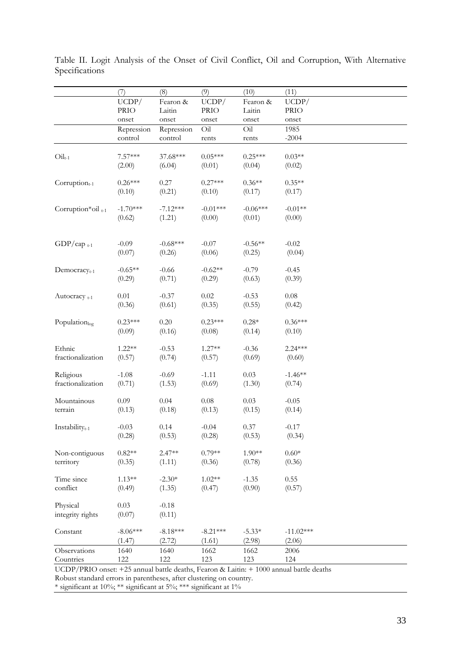|                               | (7)         | (8)        | (9)         | (10)       | (11)        |
|-------------------------------|-------------|------------|-------------|------------|-------------|
|                               | UCDP/       | Fearon &   | UCDP/       | Fearon &   | UCDP/       |
|                               | <b>PRIO</b> | Laitin     | <b>PRIO</b> | Laitin     | <b>PRIO</b> |
|                               | onset       | onset      | onset       | onset      | onset       |
|                               | Repression  | Repression | Oil         | Oil        | 1985        |
|                               | control     | control    | rents       | rents      | $-2004$     |
|                               |             |            |             |            |             |
| $\mathrm{Oil}_{t-1}$          | $7.57***$   | 37.68***   | $0.05***$   | $0.25***$  | $0.03**$    |
|                               | (2.00)      | (6.04)     | (0.01)      | (0.04)     | (0.02)      |
|                               |             |            |             |            |             |
| $Corruption_{t-1}$            | $0.26***$   | 0.27       | $0.27***$   | $0.36**$   | $0.35**$    |
|                               | (0.10)      | (0.21)     | (0.10)      | (0.17)     | (0.17)      |
|                               | $-1.70***$  | $-7.12***$ | $-0.01***$  | $-0.06***$ | $-0.01**$   |
| Corruption*oil <sub>t-1</sub> | (0.62)      | (1.21)     | (0.00)      | (0.01)     | (0.00)      |
|                               |             |            |             |            |             |
|                               |             |            |             |            |             |
| $GDP/cap$ <sub>t-1</sub>      | $-0.09$     | $-0.68***$ | $-0.07$     | $-0.56**$  | $-0.02$     |
|                               | (0.07)      | (0.26)     | (0.06)      | (0.25)     | (0.04)      |
|                               |             |            |             |            |             |
| $Democracyt-1$                | $-0.65**$   | $-0.66$    | $-0.62**$   | $-0.79$    | $-0.45$     |
|                               | (0.29)      | (0.71)     | (0.29)      | (0.63)     | (0.39)      |
|                               |             |            |             |            |             |
| Autocracy $_{t-1}$            | $0.01\,$    | $-0.37$    | $0.02\,$    | $-0.53$    | $0.08\,$    |
|                               | (0.36)      | (0.61)     | (0.35)      | (0.55)     | (0.42)      |
|                               | $0.23***$   | 0.20       | $0.23***$   | $0.28*$    | $0.36***$   |
| Populationlog                 | (0.09)      | (0.16)     | (0.08)      | (0.14)     | (0.10)      |
|                               |             |            |             |            |             |
| Ethnic                        | $1.22**$    | $-0.53$    | $1.27**$    | $-0.36$    | 2.24 ***    |
| fractionalization             | (0.57)      | (0.74)     | (0.57)      | (0.69)     | (0.60)      |
|                               |             |            |             |            |             |
| Religious                     | $-1.08$     | $-0.69$    | $-1.11$     | 0.03       | $-1.46**$   |
| fractionalization             | (0.71)      | (1.53)     | (0.69)      | (1.30)     | (0.74)      |
|                               |             |            |             |            |             |
| Mountainous                   | 0.09        | 0.04       | $0.08\,$    | 0.03       | $-0.05$     |
| terrain                       | (0.13)      | (0.18)     | (0.13)      | (0.15)     | (0.14)      |
|                               |             |            |             |            |             |
| Instability <sub>t-1</sub>    | $-0.03$     | 0.14       | $-0.04$     | 0.37       | $-0.17$     |
|                               | (0.28)      | (0.53)     | (0.28)      | (0.53)     | (0.34)      |
| Non-contiguous                | $0.82**$    | $2.47**$   | $0.79**$    | $1.90**$   | $0.60*$     |
| territory                     | (0.35)      | (1.11)     | (0.36)      | (0.78)     | (0.36)      |
|                               |             |            |             |            |             |
| Time since                    | $1.13**$    | $-2.30*$   | $1.02**$    | $-1.35$    | 0.55        |
| conflict                      | (0.49)      | (1.35)     | (0.47)      | (0.90)     | (0.57)      |
|                               |             |            |             |            |             |
| Physical                      | 0.03        | $-0.18$    |             |            |             |
| integrity rights              | (0.07)      | (0.11)     |             |            |             |
|                               |             |            |             |            |             |
| Constant                      | $-8.06***$  | $-8.18***$ | $-8.21***$  | $-5.33*$   | $-11.02***$ |
|                               | (1.47)      | (2.72)     | (1.61)      | (2.98)     | (2.06)      |
| Observations                  | 1640        | 1640       | 1662        | 1662       | 2006        |
| Countries                     | 122         | 122        | 123         | 123        | 124         |

Table II. Logit Analysis of the Onset of Civil Conflict, Oil and Corruption, With Alternative Specifications

UCDP/PRIO onset: +25 annual battle deaths, Fearon & Laitin: + 1000 annual battle deaths

Robust standard errors in parentheses, after clustering on country. \* significant at 10%; \*\* significant at 5%; \*\*\* significant at 1%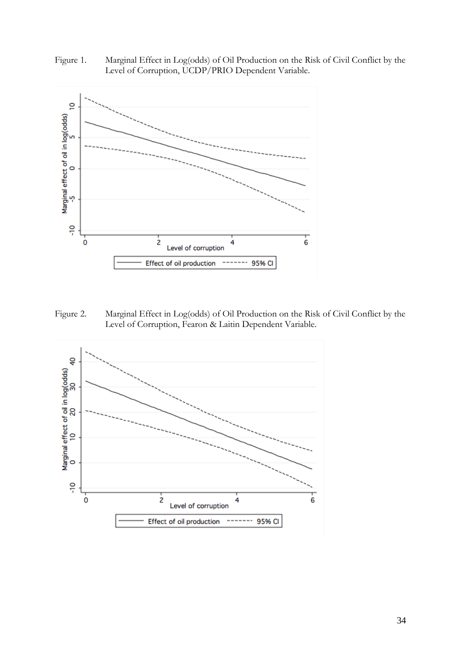



Figure 2. Marginal Effect in Log(odds) of Oil Production on the Risk of Civil Conflict by the Level of Corruption, Fearon & Laitin Dependent Variable.